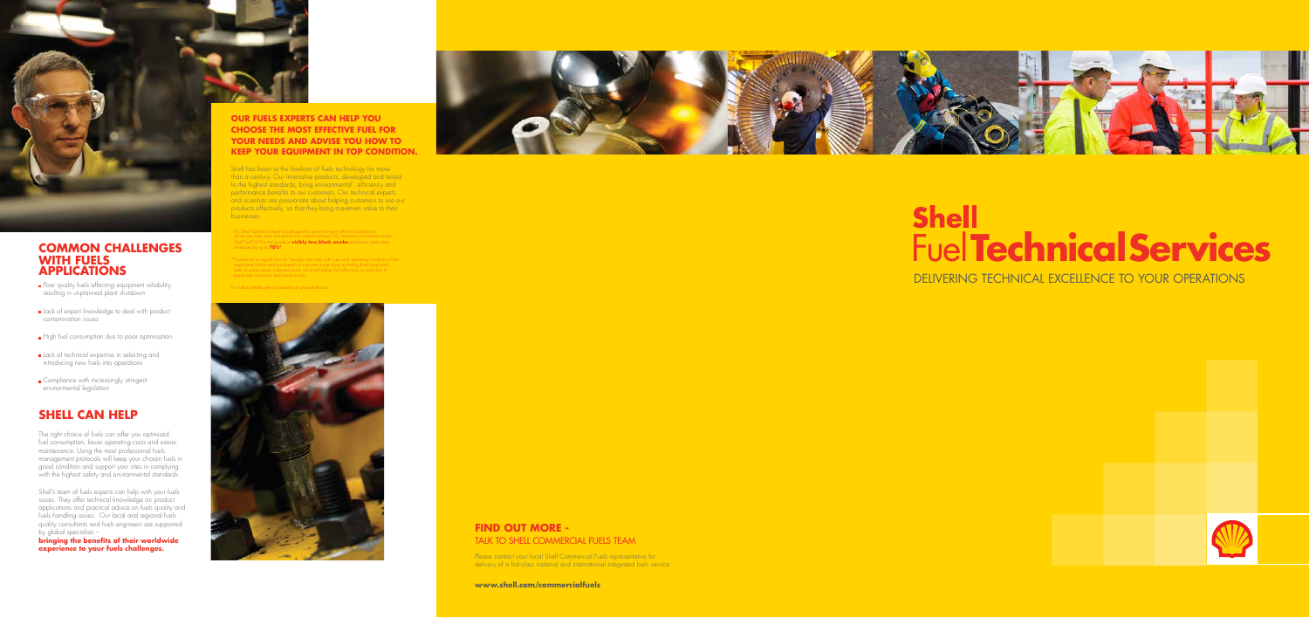#### **OUR FUELS EXPERTS CAN HELP YOU CHOOSE THE MOST EFFECTIVE FUEL FOR YOUR NEEDS AND ADVISE YOU HOW TO KEEP YOUR EQUIPMENT IN TOP CONDITION.**



#### **COMMON CHALLENGES WITH FUELS APPLICATIONS**

- Poor quality fuels affecting equipment reliability, resulting in unplanned plant shutdown
- Lack of expert knowledge to deal with product contamination issues
- High fuel consumption due to poor optimisation
- Lack of technical expertise in selecting and introducing new fuels into operations
- Compliance with increasingly stringent environmental legislation

The right choice of fuels can offer you optimised fuel consumption, lower operating costs and easier maintenance. Using the most professional fuels management protocols will keep your chosen fuels in good condition and support your sites in complying with the highest safety and environmental standards.

Shell's team of fuels experts can help with your fuels issues. They offer technical knowledge on product applications and practical advice on fuels quality and fuels handling issues. Our local and regional fuels quality consultants and fuels engineers are supported by global specialists –

## **SHELL CAN HELP**

Shell has been at the forefront of fuels technology for more than a century. Our innovative products, developed and tested to the highest standards, bring environmental<sup>1</sup>, efficiency and I performance benefits to our customers. Our technical experts and scientists are passionate about helping customers to use our products effectively, so that they bring maximum value to their businesses.

re Diesel it is designed to promote more efficient combustion,<br>save fuel and in turn reduce exhaust CO<sub>2</sub> emissions and black smoke which can help save fuel and in turn reduce exhaust CO<sub>2</sub> emissions and black smoke.<br>Shell FuelOil Plus can produce **visibly less black smoke** and lower particulate<br>emissions by up to **70%\***.

**bringing the benefits of their worldwide experience to your fuels challenges.**



.<br>If fuel oil. Savinas may vary with type and operating condition of the top. equipment/boiler and are based on customer experience including Shell-supported tests. In some cases, customers have achieved higher fuel efficiency or reduction in particulate emissions and black smoke.

#### **FIND OUT MORE -** TALK TO SHELL COMMERCIAL FUELS TEAM

Please contact your local Shell Commercial Fuels representative for delivery of a first-class national and international integrated fuels service

**www.shell.com/commercialfuels**

# Fuel**TechnicalServices**

DELIVERING TECHNICAL EXCELLENCE TO YOUR OPERATIONS



For further details see our website at www.shell.com